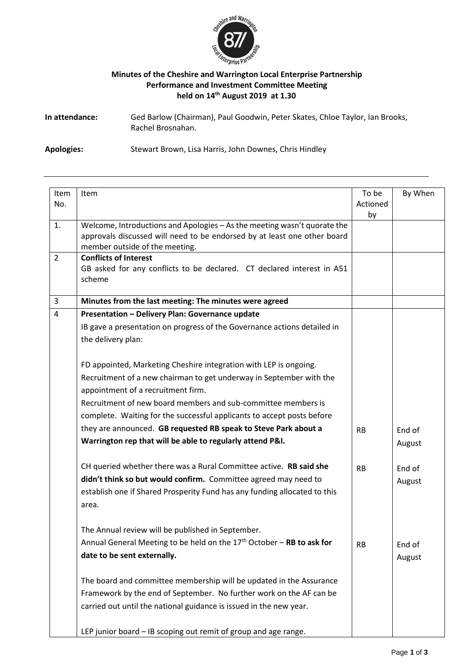

## **Minutes of the Cheshire and Warrington Local Enterprise Partnership Performance and Investment Committee Meeting held on 14th August 2019 at 1.30**

**In attendance:** Ged Barlow (Chairman), Paul Goodwin, Peter Skates, Chloe Taylor, Ian Brooks, Rachel Brosnahan.

**Apologies:** Stewart Brown, Lisa Harris, John Downes, Chris Hindley

|                |                                                                                   | To be     |         |
|----------------|-----------------------------------------------------------------------------------|-----------|---------|
| Item<br>No.    | Item                                                                              | Actioned  | By When |
|                |                                                                                   | by        |         |
| 1.             | Welcome, Introductions and Apologies - As the meeting wasn't quorate the          |           |         |
|                | approvals discussed will need to be endorsed by at least one other board          |           |         |
|                | member outside of the meeting.                                                    |           |         |
| $\overline{2}$ | <b>Conflicts of Interest</b>                                                      |           |         |
|                | GB asked for any conflicts to be declared. CT declared interest in A51            |           |         |
|                | scheme                                                                            |           |         |
| 3              | Minutes from the last meeting: The minutes were agreed                            |           |         |
| 4              | Presentation - Delivery Plan: Governance update                                   |           |         |
|                | IB gave a presentation on progress of the Governance actions detailed in          |           |         |
|                | the delivery plan:                                                                |           |         |
|                |                                                                                   |           |         |
|                | FD appointed, Marketing Cheshire integration with LEP is ongoing.                 |           |         |
|                | Recruitment of a new chairman to get underway in September with the               |           |         |
|                | appointment of a recruitment firm.                                                |           |         |
|                | Recruitment of new board members and sub-committee members is                     |           |         |
|                | complete. Waiting for the successful applicants to accept posts before            |           |         |
|                |                                                                                   |           |         |
|                | they are announced. GB requested RB speak to Steve Park about a                   | <b>RB</b> | End of  |
|                | Warrington rep that will be able to regularly attend P&I.                         |           | August  |
|                | CH queried whether there was a Rural Committee active. RB said she                | <b>RB</b> | End of  |
|                | didn't think so but would confirm. Committee agreed may need to                   |           | August  |
|                | establish one if Shared Prosperity Fund has any funding allocated to this         |           |         |
|                | area.                                                                             |           |         |
|                |                                                                                   |           |         |
|                | The Annual review will be published in September.                                 |           |         |
|                | Annual General Meeting to be held on the 17 <sup>th</sup> October - RB to ask for | RB        | End of  |
|                | date to be sent externally.                                                       |           | August  |
|                | The board and committee membership will be updated in the Assurance               |           |         |
|                | Framework by the end of September. No further work on the AF can be               |           |         |
|                | carried out until the national guidance is issued in the new year.                |           |         |
|                | LEP junior board - IB scoping out remit of group and age range.                   |           |         |
|                |                                                                                   |           |         |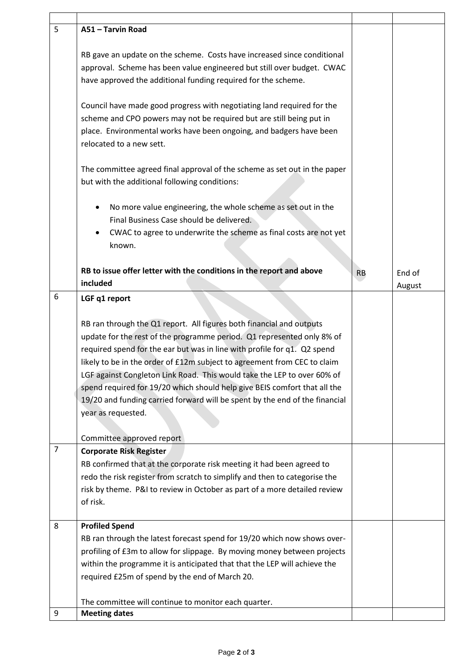| 5              | A51 - Tarvin Road                                                                |           |        |
|----------------|----------------------------------------------------------------------------------|-----------|--------|
|                |                                                                                  |           |        |
|                | RB gave an update on the scheme. Costs have increased since conditional          |           |        |
|                | approval. Scheme has been value engineered but still over budget. CWAC           |           |        |
|                | have approved the additional funding required for the scheme.                    |           |        |
|                |                                                                                  |           |        |
|                | Council have made good progress with negotiating land required for the           |           |        |
|                | scheme and CPO powers may not be required but are still being put in             |           |        |
|                | place. Environmental works have been ongoing, and badgers have been              |           |        |
|                | relocated to a new sett.                                                         |           |        |
|                |                                                                                  |           |        |
|                | The committee agreed final approval of the scheme as set out in the paper        |           |        |
|                | but with the additional following conditions:                                    |           |        |
|                |                                                                                  |           |        |
|                | No more value engineering, the whole scheme as set out in the                    |           |        |
|                | Final Business Case should be delivered.                                         |           |        |
|                | CWAC to agree to underwrite the scheme as final costs are not yet<br>٠           |           |        |
|                | known.                                                                           |           |        |
|                |                                                                                  |           |        |
|                | RB to issue offer letter with the conditions in the report and above<br>included | <b>RB</b> | End of |
| 6              |                                                                                  |           | August |
|                | LGF q1 report                                                                    |           |        |
|                | RB ran through the Q1 report. All figures both financial and outputs             |           |        |
|                | update for the rest of the programme period. Q1 represented only 8% of           |           |        |
|                | required spend for the ear but was in line with profile for q1. Q2 spend         |           |        |
|                | likely to be in the order of £12m subject to agreement from CEC to claim         |           |        |
|                | LGF against Congleton Link Road. This would take the LEP to over 60% of          |           |        |
|                | spend required for 19/20 which should help give BEIS comfort that all the        |           |        |
|                | 19/20 and funding carried forward will be spent by the end of the financial      |           |        |
|                | year as requested.                                                               |           |        |
|                |                                                                                  |           |        |
|                | Committee approved report                                                        |           |        |
| $\overline{7}$ | <b>Corporate Risk Register</b>                                                   |           |        |
|                | RB confirmed that at the corporate risk meeting it had been agreed to            |           |        |
|                | redo the risk register from scratch to simplify and then to categorise the       |           |        |
|                | risk by theme. P&I to review in October as part of a more detailed review        |           |        |
|                | of risk.                                                                         |           |        |
|                |                                                                                  |           |        |
| 8              | <b>Profiled Spend</b>                                                            |           |        |
|                | RB ran through the latest forecast spend for 19/20 which now shows over-         |           |        |
|                | profiling of £3m to allow for slippage. By moving money between projects         |           |        |
|                | within the programme it is anticipated that that the LEP will achieve the        |           |        |
|                | required £25m of spend by the end of March 20.                                   |           |        |
|                | The committee will continue to monitor each quarter.                             |           |        |
| 9              | <b>Meeting dates</b>                                                             |           |        |